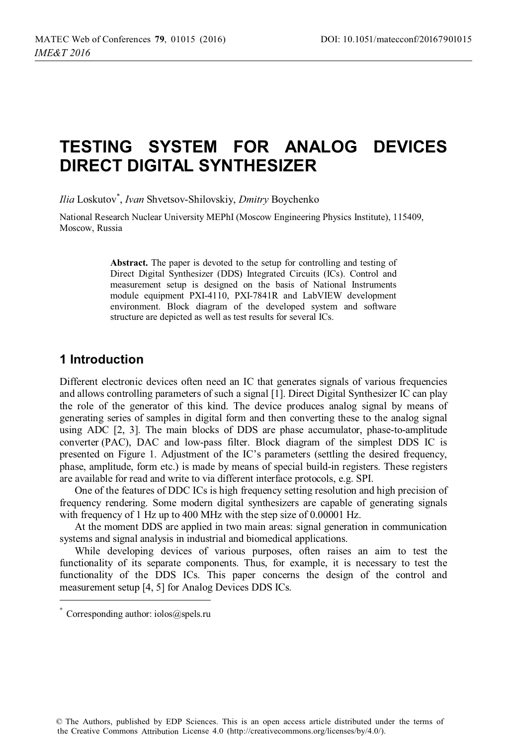# **TESTING SYSTEM FOR ANALOG DEVICES DIRECT DIGITAL SYNTHESIZER**

*Ilia* Loskutov\* , *Ivan* Shvetsov-Shilovskiy, *Dmitry* Boychenko

National Research Nuclear University MEPhI (Moscow Engineering Physics Institute), 115409, Moscow, Russia

> Abstract. The paper is devoted to the setup for controlling and testing of Direct Digital Synthesizer (DDS) Integrated Circuits (ICs). Control and measurement setup is designed on the basis of National Instruments module equipment PXI-4110, PXI-7841R and LabVIEW development environment. Block diagram of the developed system and software structure are depicted as well as test results for several ICs.

#### **1 Introduction**

Different electronic devices often need an IC that generates signals of various frequencies and allows controlling parameters of such a signal [1]. Direct Digital Synthesizer IC can play the role of the generator of this kind. The device produces analog signal by means of generating series of samples in digital form and then converting these to the analog signal using ADC [2, 3]. The main blocks of DDS are phase accumulator, phase-to-amplitude converter (PAC), DAC and low-pass filter. Block diagram of the simplest DDS IC is presented on Figure 1. Adjustment of the IC's parameters (settling the desired frequency, phase, amplitude, form etc.) is made by means of special build-in registers. These registers are available for read and write to via different interface protocols, e.g. SPI.

One of the features of DDC ICs is high frequency setting resolution and high precision of frequency rendering. Some modern digital synthesizers are capable of generating signals with frequency of 1 Hz up to 400 MHz with the step size of 0.00001 Hz.

At the moment DDS are applied in two main areas: signal generation in communication systems and signal analysis in industrial and biomedical applications.

While developing devices of various purposes, often raises an aim to test the functionality of its separate components. Thus, for example, it is necessary to test the functionality of the DDS ICs. This paper concerns the design of the control and measurement setup [4, 5] for Analog Devices DDS ICs.

Corresponding author:  $i$ olos $@$ spels.ru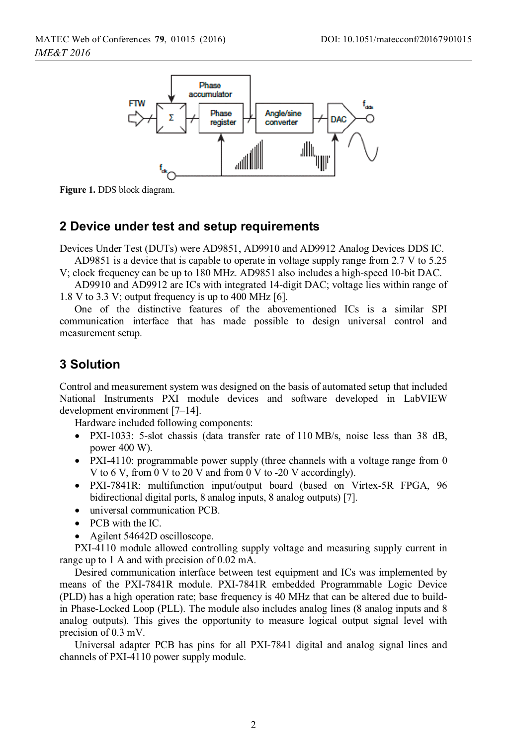

**Figure 1.** DDS block diagram.

#### **2 Device under test and setup requirements**

Devices Under Test (DUTs) were AD9851, AD9910 and AD9912 Analog Devices DDS IC.

AD9851 is a device that is capable to operate in voltage supply range from 2.7 V to 5.25 V; clock frequency can be up to 180 MHz. AD9851 also includes a high-speed 10-bit DAC.

AD9910 and AD9912 are ICs with integrated 14-digit DAC; voltage lies within range of 1.8 V to 3.3 V; output frequency is up to 400 MHz [6].

One of the distinctive features of the abovementioned ICs is a similar SPI communication interface that has made possible to design universal control and measurement setup.

#### **3 Solution**

Control and measurement system was designed on the basis of automated setup that included National Instruments PXI module devices and software developed in LabVIEW development environment [7–14].

Hardware included following components:

- PXI-1033: 5-slot chassis (data transfer rate of 110 MB/s, noise less than 38 dB, power 400 W).
- PXI-4110: programmable power supply (three channels with a voltage range from 0 V to 6 V, from 0 V to 20 V and from 0 V to -20 V accordingly).
- PXI-7841R: multifunction input/output board (based on Virtex-5R FPGA, 96 bidirectional digital ports, 8 analog inputs, 8 analog outputs) [7].
- universal communication PCB.
- PCB with the IC.
- Agilent 54642D oscilloscope.

PXI-4110 module allowed controlling supply voltage and measuring supply current in range up to 1 A and with precision of 0.02 mA.

Desired communication interface between test equipment and ICs was implemented by means of the PXI-7841R module. PXI-7841R embedded Programmable Logic Device (PLD) has a high operation rate; base frequency is 40 MHz that can be altered due to buildin Phase-Locked Loop (PLL). The module also includes analog lines (8 analog inputs and 8 analog outputs). This gives the opportunity to measure logical output signal level with precision of 0.3 mV.

Universal adapter PCB has pins for all PXI-7841 digital and analog signal lines and channels of PXI-4110 power supply module.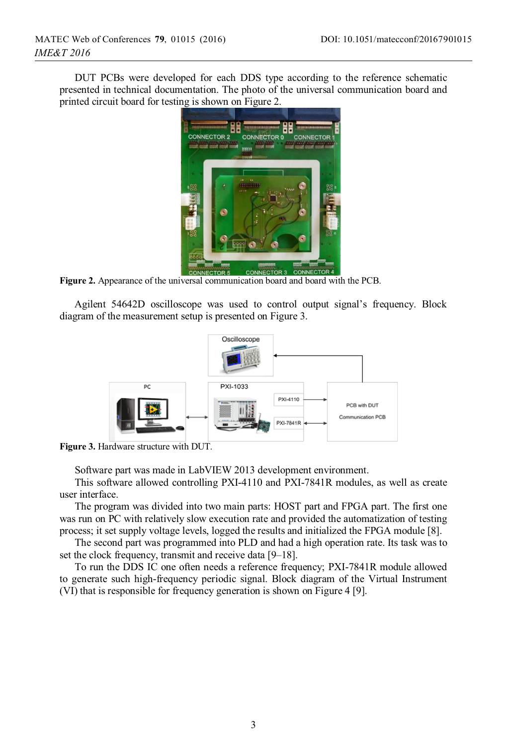DUT PCBs were developed for each DDS type according to the reference schematic presented in technical documentation. The photo of the universal communication board and printed circuit board for testing is shown on Figure 2.



**Figure 2.** Appearance of the universal communication board and board with the PCB.

Agilent 54642D oscilloscope was used to control output signal's frequency. Block diagram of the measurement setup is presented on Figure 3.



**Figure 3.** Hardware structure with DUT.

Software part was made in LabVIEW 2013 development environment.

This software allowed controlling PXI-4110 and PXI-7841R modules, as well as create user interface.

The program was divided into two main parts: HOST part and FPGA part. The first one was run on PC with relatively slow execution rate and provided the automatization of testing process; it set supply voltage levels, logged the results and initialized the FPGA module [8].

The second part was programmed into PLD and had a high operation rate. Its task was to set the clock frequency, transmit and receive data [9–18].

To run the DDS IC one often needs a reference frequency; PXI-7841R module allowed to generate such high-frequency periodic signal. Block diagram of the Virtual Instrument (VI) that is responsible for frequency generation is shown on Figure 4 [9].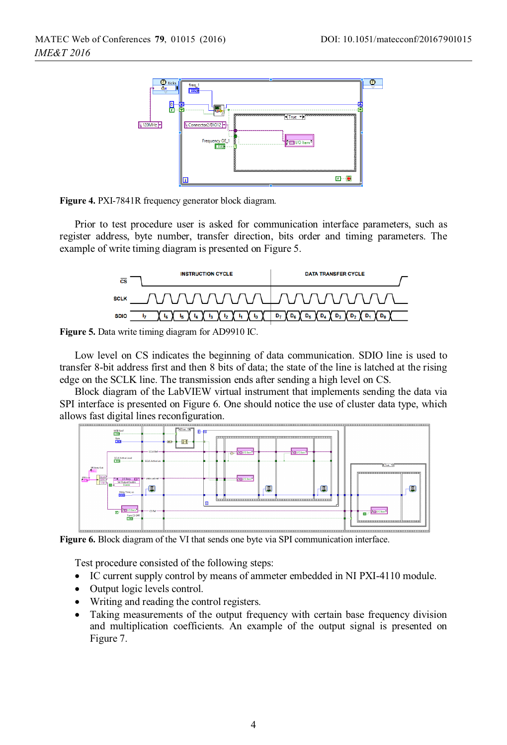



Prior to test procedure user is asked for communication interface parameters, such as register address, byte number, transfer direction, bits order and timing parameters. The example of write timing diagram is presented on Figure 5.





Low level on CS indicates the beginning of data communication. SDIO line is used to transfer 8-bit address first and then 8 bits of data; the state of the line is latched at the rising edge on the SCLK line. The transmission ends after sending a high level on CS.

Block diagram of the LabVIEW virtual instrument that implements sending the data via SPI interface is presented on Figure 6. One should notice the use of cluster data type, which allows fast digital lines reconfiguration.



**Figure 6.** Block diagram of the VI that sends one byte via SPI communication interface.

Test procedure consisted of the following steps:

- IC current supply control by means of ammeter embedded in NI PXI-4110 module.
- Output logic levels control.
- Writing and reading the control registers.
- Taking measurements of the output frequency with certain base frequency division and multiplication coefficients. An example of the output signal is presented on Figure 7.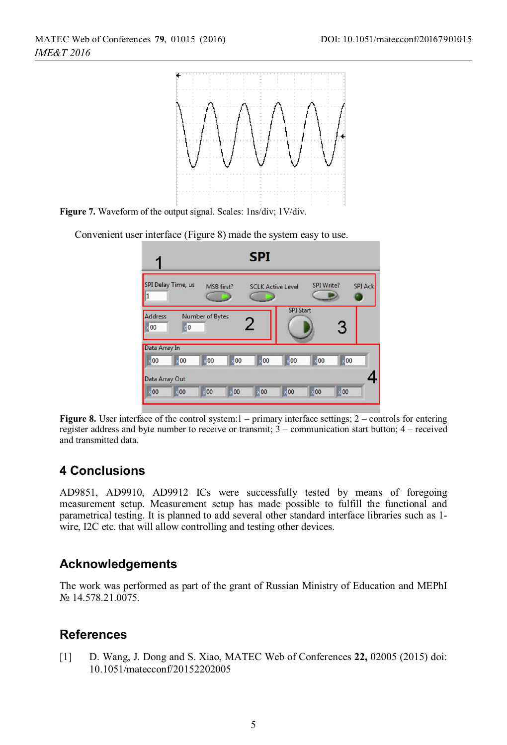

**Figure 7.** Waveform of the output signal. Scales: 1ns/div; 1V/div.

Convenient user interface (Figure 8) made the system easy to use.

|                                     |                    |                 |                  | <b>SPI</b>               |                  |                  |                  |                |
|-------------------------------------|--------------------|-----------------|------------------|--------------------------|------------------|------------------|------------------|----------------|
| $\overline{1}$                      | SPI Delay Time, us | MSB first?      |                  | <b>SCLK Active Level</b> |                  | SPI Write?       |                  | <b>SPI Ack</b> |
| Address<br> 00                      | $\sqrt{6}$         | Number of Bytes |                  | 2                        | <b>SPI Start</b> |                  | 3                |                |
| Data Array In<br>$\frac{1}{2}$ 00   | $\frac{1}{2}$ 00   | .00             | $\frac{1}{2}$ 00 | $\sqrt{00}$              | $\times$ 00      | $\frac{1}{2}$ 00 | $\frac{1}{2}$ 00 |                |
| Data Array Out<br>$\frac{1}{20}$ 00 | 100                | 100             | 100              | 100                      | 100              | .00              | 100              |                |

**Figure 8.** User interface of the control system:  $1 -$  primary interface settings;  $2 -$  controls for entering register address and byte number to receive or transmit; 3 – communication start button; 4 – received and transmitted data.

# **4 Conclusions**

AD9851, AD9910, AD9912 ICs were successfully tested by means of foregoing measurement setup. Measurement setup has made possible to fulfill the functional and parametrical testing. It is planned to add several other standard interface libraries such as 1 wire, I2C etc. that will allow controlling and testing other devices.

## **Acknowledgements**

The work was performed as part of the grant of Russian Ministry of Education and MEPhI № 14.578.21.0075.

## **References**

[1] D. Wang, J. Dong and S. Xiao, MATEC Web of Conferences **22,** 02005 (2015) doi: 10.1051/matecconf/20152202005